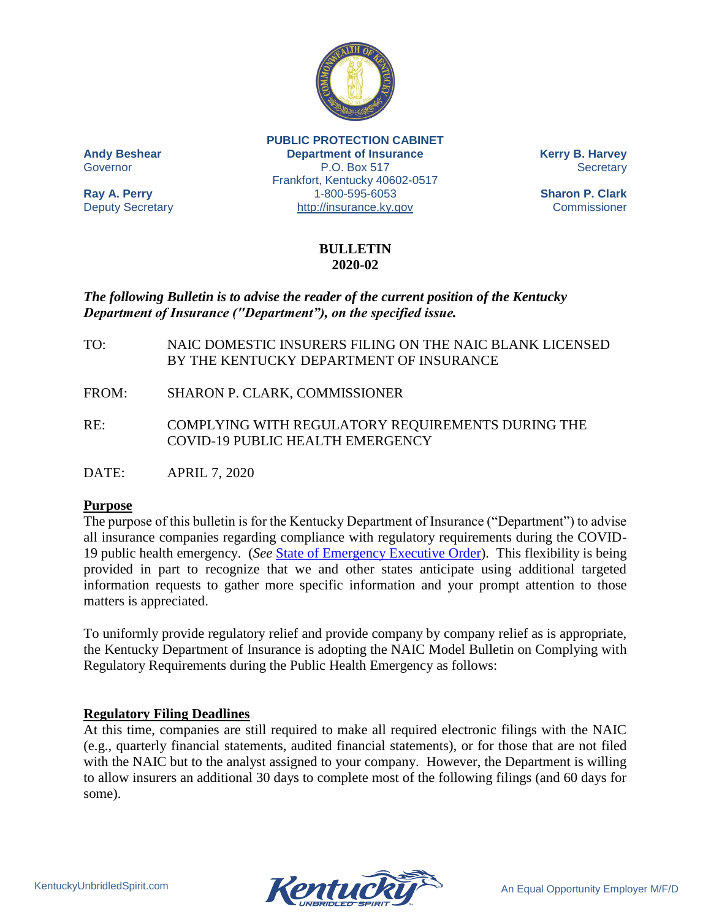

**PUBLIC PROTECTION CABINET Andy Beshear Department of Insurance Kerry B. Harvey** Governor **P.O. Box 517** Secretary Frankfort, Kentucky 40602-0517 **Ray A. Perry** 1-800-595-6053 **Sharon P. Clark** Deputy Secretary [http://insurance.ky.gov](http://insurance.ky.gov/) Commissioner

### **BULLETIN 2020-02**

# *The following Bulletin is to advise the reader of the current position of the Kentucky Department of Insurance ("Department"), on the specified issue.*

- TO: NAIC DOMESTIC INSURERS FILING ON THE NAIC BLANK LICENSED BY THE KENTUCKY DEPARTMENT OF INSURANCE
- FROM: SHARON P. CLARK, COMMISSIONER
- RE: COMPLYING WITH REGULATORY REQUIREMENTS DURING THE COVID-19 PUBLIC HEALTH EMERGENCY

DATE: APRIL 7, 2020

## **Purpose**

The purpose of this bulletin is for the Kentucky Department of Insurance ("Department") to advise all insurance companies regarding compliance with regulatory requirements during the COVID-19 public health emergency. (*See* [State of Emergency](http://insurance.ky.gov/ppc/Documents/2020.03.09EOInsuranceCoronavirus.pdf) Executive Order). This flexibility is being provided in part to recognize that we and other states anticipate using additional targeted information requests to gather more specific information and your prompt attention to those matters is appreciated.

To uniformly provide regulatory relief and provide company by company relief as is appropriate, the Kentucky Department of Insurance is adopting the NAIC Model Bulletin on Complying with Regulatory Requirements during the Public Health Emergency as follows:

#### **Regulatory Filing Deadlines**

At this time, companies are still required to make all required electronic filings with the NAIC (e.g., quarterly financial statements, audited financial statements), or for those that are not filed with the NAIC but to the analyst assigned to your company. However, the Department is willing to allow insurers an additional 30 days to complete most of the following filings (and 60 days for some).

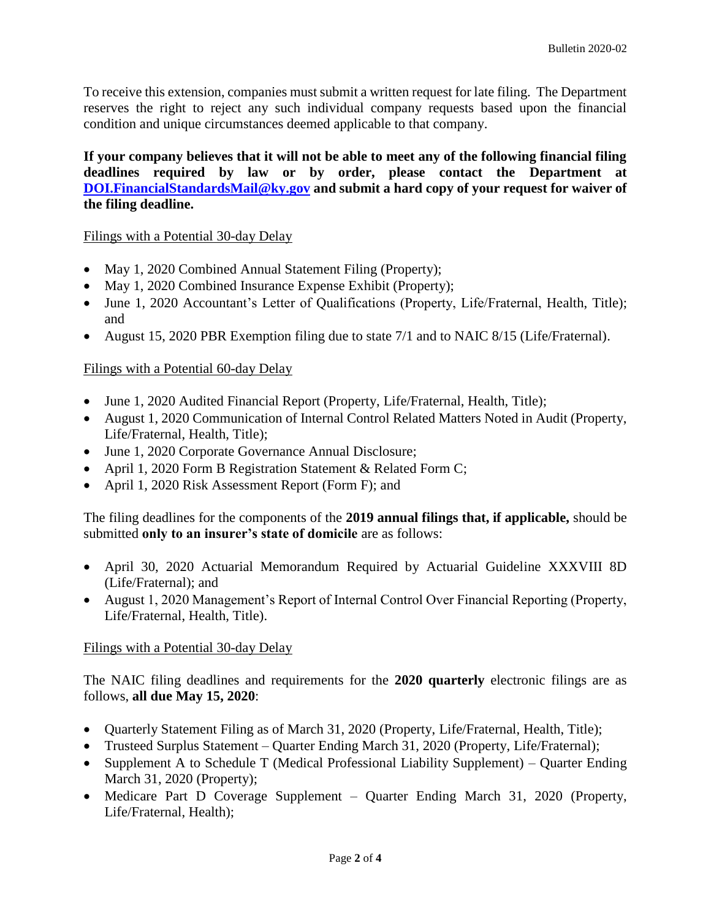To receive this extension, companies must submit a written request for late filing. The Department reserves the right to reject any such individual company requests based upon the financial condition and unique circumstances deemed applicable to that company.

**If your company believes that it will not be able to meet any of the following financial filing deadlines required by law or by order, please contact the Department at [DOI.FinancialStandardsMail@ky.gov](mailto:DOI.FinancialStandardsMail@ky.gov) and submit a hard copy of your request for waiver of the filing deadline.**

### Filings with a Potential 30-day Delay

- May 1, 2020 Combined Annual Statement Filing (Property);
- May 1, 2020 Combined Insurance Expense Exhibit (Property);
- June 1, 2020 Accountant's Letter of Qualifications (Property, Life/Fraternal, Health, Title); and
- August 15, 2020 PBR Exemption filing due to state 7/1 and to NAIC 8/15 (Life/Fraternal).

### Filings with a Potential 60-day Delay

- June 1, 2020 Audited Financial Report (Property, Life/Fraternal, Health, Title);
- August 1, 2020 Communication of Internal Control Related Matters Noted in Audit (Property, Life/Fraternal, Health, Title);
- June 1, 2020 Corporate Governance Annual Disclosure;
- April 1, 2020 Form B Registration Statement & Related Form C;
- April 1, 2020 Risk Assessment Report (Form F); and

The filing deadlines for the components of the **2019 annual filings that, if applicable,** should be submitted **only to an insurer's state of domicile** are as follows:

- April 30, 2020 Actuarial Memorandum Required by Actuarial Guideline XXXVIII 8D (Life/Fraternal); and
- August 1, 2020 Management's Report of Internal Control Over Financial Reporting (Property, Life/Fraternal, Health, Title).

#### Filings with a Potential 30-day Delay

The NAIC filing deadlines and requirements for the **2020 quarterly** electronic filings are as follows, **all due May 15, 2020**:

- Quarterly Statement Filing as of March 31, 2020 (Property, Life/Fraternal, Health, Title);
- Trusteed Surplus Statement Quarter Ending March 31, 2020 (Property, Life/Fraternal);
- Supplement A to Schedule T (Medical Professional Liability Supplement) Quarter Ending March 31, 2020 (Property);
- Medicare Part D Coverage Supplement Quarter Ending March 31, 2020 (Property, Life/Fraternal, Health);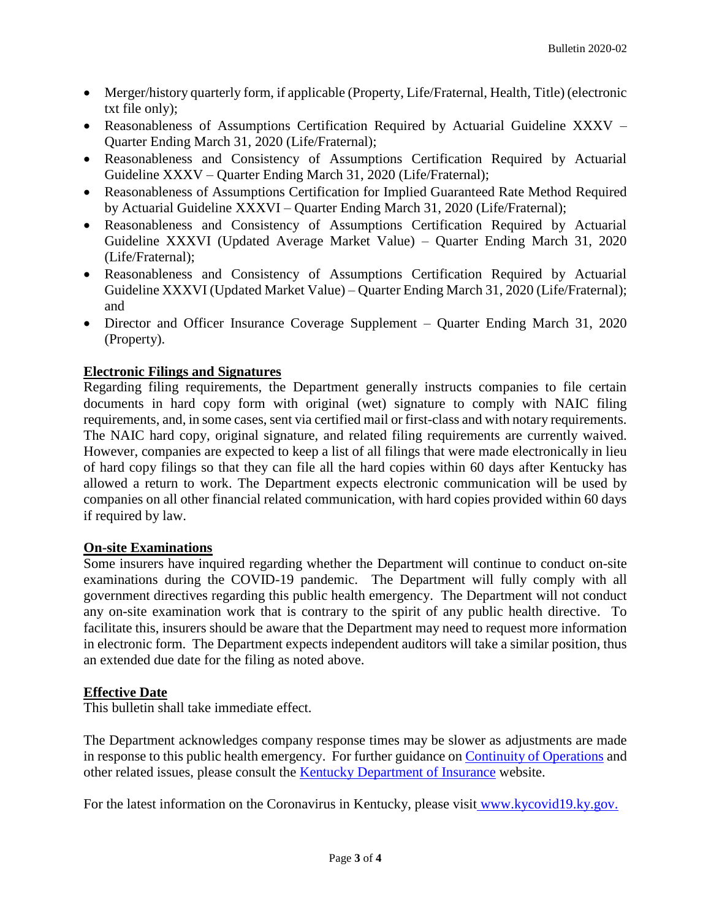- Merger/history quarterly form, if applicable (Property, Life/Fraternal, Health, Title) (electronic txt file only);
- Reasonableness of Assumptions Certification Required by Actuarial Guideline XXXV Quarter Ending March 31, 2020 (Life/Fraternal);
- Reasonableness and Consistency of Assumptions Certification Required by Actuarial Guideline XXXV – Quarter Ending March 31, 2020 (Life/Fraternal);
- Reasonableness of Assumptions Certification for Implied Guaranteed Rate Method Required by Actuarial Guideline XXXVI – Quarter Ending March 31, 2020 (Life/Fraternal);
- Reasonableness and Consistency of Assumptions Certification Required by Actuarial Guideline XXXVI (Updated Average Market Value) – Quarter Ending March 31, 2020 (Life/Fraternal);
- Reasonableness and Consistency of Assumptions Certification Required by Actuarial Guideline XXXVI (Updated Market Value) – Quarter Ending March 31, 2020 (Life/Fraternal); and
- Director and Officer Insurance Coverage Supplement Quarter Ending March 31, 2020 (Property).

# **Electronic Filings and Signatures**

Regarding filing requirements, the Department generally instructs companies to file certain documents in hard copy form with original (wet) signature to comply with NAIC filing requirements, and, in some cases, sent via certified mail or first-class and with notary requirements. The NAIC hard copy, original signature, and related filing requirements are currently waived. However, companies are expected to keep a list of all filings that were made electronically in lieu of hard copy filings so that they can file all the hard copies within 60 days after Kentucky has allowed a return to work. The Department expects electronic communication will be used by companies on all other financial related communication, with hard copies provided within 60 days if required by law.

## **On-site Examinations**

Some insurers have inquired regarding whether the Department will continue to conduct on-site examinations during the COVID-19 pandemic. The Department will fully comply with all government directives regarding this public health emergency. The Department will not conduct any on-site examination work that is contrary to the spirit of any public health directive. To facilitate this, insurers should be aware that the Department may need to request more information in electronic form. The Department expects independent auditors will take a similar position, thus an extended due date for the filing as noted above.

## **Effective Date**

This bulletin shall take immediate effect.

The Department acknowledges company response times may be slower as adjustments are made in response to this public health emergency. For further guidance on [Continuity of Operations](http://insurance.ky.gov/ppc/Documents/GuidanceContinuityofOperations.pdf) and other related issues, please consult the **Kentucky Department of Insurance website.** 

For the latest information on the Coronavirus in Kentucky, please visit [www.kycovid19.ky.gov.](https://chfs.ky.gov/agencies/dph/pages/covid19.aspx)